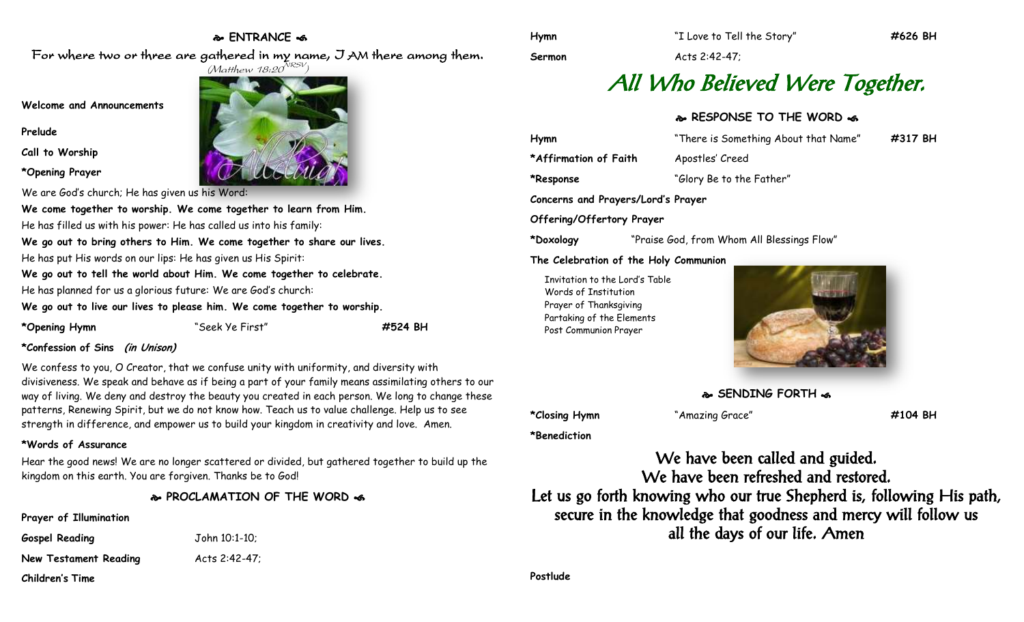# **ENTRANCE**

For where two or three are gathered in my name, I AM there among them.

**Welcome and Announcements**

**Prelude**

**Call to Worship**

**\*Opening Prayer**

We are God's church; He has given us his Word:

**We come together to worship. We come together to learn from Him.**

He has filled us with his power: He has called us into his family:

**We go out to bring others to Him. We come together to share our lives.** He has put His words on our lips: He has given us His Spirit:

**We go out to tell the world about Him. We come together to celebrate.** He has planned for us a glorious future: We are God's church:

**We go out to live our lives to please him. We come together to worship.**

**\*Opening Hymn** "Seek Ye First" **#524 BH**

## **\*Confession of Sins (in Unison)**

We confess to you, O Creator, that we confuse unity with uniformity, and diversity with divisiveness. We speak and behave as if being a part of your family means assimilating others to our way of living. We deny and destroy the beauty you created in each person. We long to change these patterns, Renewing Spirit, but we do not know how. Teach us to value challenge. Help us to see strength in difference, and empower us to build your kingdom in creativity and love. Amen.

## **\*Words of Assurance**

Hear the good news! We are no longer scattered or divided, but gathered together to build up the kingdom on this earth. You are forgiven. Thanks be to God!

**PROCLAMATION OF THE WORD** 

**Prayer of Illumination**

| <b>Gospel Reading</b> | John 10:1-10; |
|-----------------------|---------------|
| New Testament Reading | Acts 2:42-47; |

**Children's Time**

**Sermon** Acts 2:42-47;

# All Who Believed Were Together.

## **RESPONSE TO THE WORD**

| Hymn                               | "There is Something About that Name" | #317 BH |
|------------------------------------|--------------------------------------|---------|
| *Affirmation of Faith              | Apostles' Creed                      |         |
| *Response                          | "Glory Be to the Father"             |         |
| Concerns and Prayers/Lord's Prayer |                                      |         |
| Offering/Offertory Prayer          |                                      |         |

**\*Doxology** "Praise God, from Whom All Blessings Flow"

#### **The Celebration of the Holy Communion**

Invitation to the Lord's Table Words of Institution Prayer of Thanksgiving Partaking of the Elements Post Communion Prayer



**SENDING FORTH <a** 

**\*Benediction**

**\*Closing Hymn** "Amazing Grace" **#104 BH**

We have been called and guided. We have been refreshed and restored. Let us go forth knowing who our true Shepherd is, following His path, secure in the knowledge that goodness and mercy will follow us all the days of our life. Amen

**Postlude**